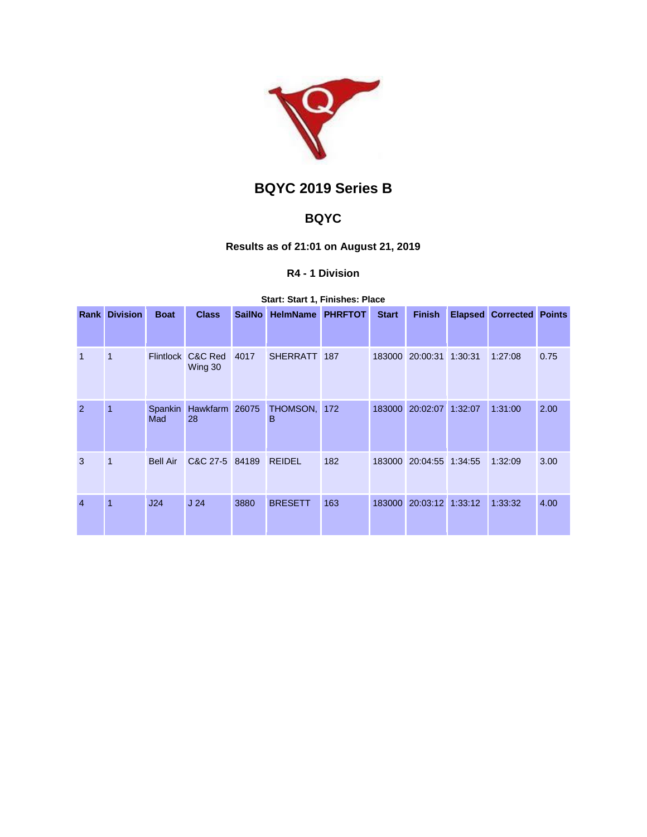

# **BQYC 2019 Series B**

## **BQYC**

## **Results as of 21:01 on August 21, 2019**

## **R4 - 1 Division**

#### **Start: Start 1, Finishes: Place**

| Rank           | <b>Division</b> | <b>Boat</b>     | <b>Class</b>                 | <b>SailNo</b> | <b>HelmName</b>   | <b>PHRFTOT</b> | <b>Start</b> | <b>Finish</b>           |         | <b>Elapsed Corrected Points</b> |      |
|----------------|-----------------|-----------------|------------------------------|---------------|-------------------|----------------|--------------|-------------------------|---------|---------------------------------|------|
|                |                 |                 |                              |               |                   |                |              |                         |         |                                 |      |
| $\overline{1}$ | 1               |                 | Flintlock C&C Red<br>Wing 30 | 4017          | SHERRATT 187      |                |              | 183000 20:00:31 1:30:31 |         | 1:27:08                         | 0.75 |
| 2              | 1               | Spankin<br>Mad  | Hawkfarm 26075<br>28         |               | THOMSON, 172<br>в |                |              | 183000 20:02:07         | 1:32:07 | 1:31:00                         | 2.00 |
| 3              | 1               | <b>Bell Air</b> | C&C 27-5 84189               |               | <b>REIDEL</b>     | 182            |              | 183000 20:04:55 1:34:55 |         | 1:32:09                         | 3.00 |
| $\overline{4}$ | 1               | J24             | J <sub>24</sub>              | 3880          | <b>BRESETT</b>    | 163            |              | 183000 20:03:12 1:33:12 |         | 1:33:32                         | 4.00 |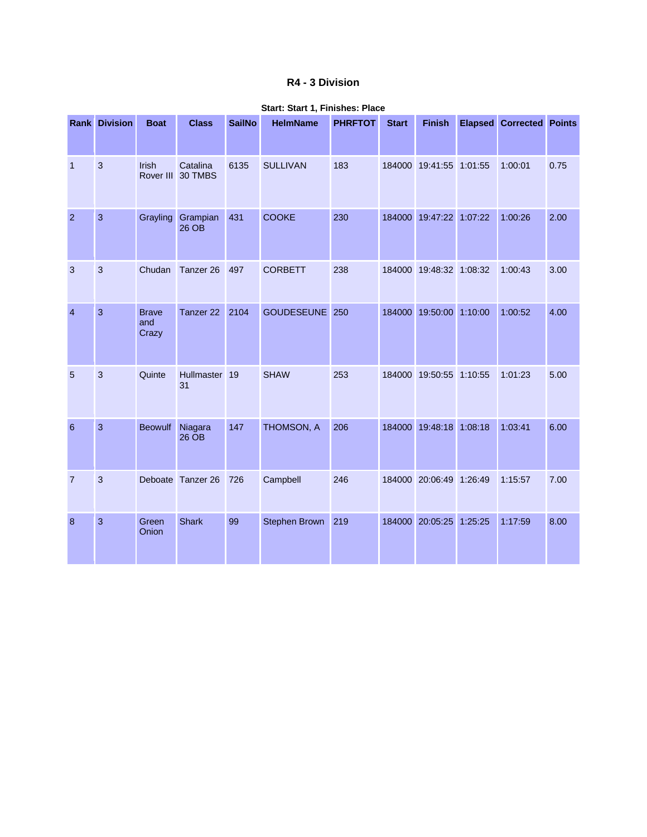### **R4 - 3 Division**

|                  | <b>Rank Division</b> | <b>Boat</b>                  | <b>Class</b>                  | <b>SailNo</b> | <b>HelmName</b> | <b>PHRFTOT</b> | <b>Start</b> | <b>Finish</b>           | <b>Elapsed Corrected Points</b> |      |
|------------------|----------------------|------------------------------|-------------------------------|---------------|-----------------|----------------|--------------|-------------------------|---------------------------------|------|
| $\overline{1}$   | 3                    | <b>Irish</b>                 | Catalina<br>Rover III 30 TMBS | 6135          | <b>SULLIVAN</b> | 183            |              | 184000 19:41:55 1:01:55 | 1:00:01                         | 0.75 |
| $\overline{2}$   | $\mathbf{3}$         | Grayling                     | Grampian<br>$26$ OB           | 431           | <b>COOKE</b>    | 230            |              | 184000 19:47:22 1:07:22 | 1:00:26                         | 2.00 |
| 3                | $\mathbf{3}$         | Chudan                       | Tanzer 26                     | 497           | <b>CORBETT</b>  | 238            |              | 184000 19:48:32 1:08:32 | 1:00:43                         | 3.00 |
| $\overline{4}$   | 3                    | <b>Brave</b><br>and<br>Crazy | Tanzer <sub>22</sub>          | 2104          | GOUDESEUNE 250  |                |              | 184000 19:50:00 1:10:00 | 1:00:52                         | 4.00 |
| 5                | 3                    | Quinte                       | Hullmaster 19<br>31           |               | <b>SHAW</b>     | 253            |              | 184000 19:50:55 1:10:55 | 1:01:23                         | 5.00 |
| 6                | $\overline{3}$       | <b>Beowulf</b>               | Niagara<br>26 OB              | 147           | THOMSON, A      | 206            |              | 184000 19:48:18 1:08:18 | 1:03:41                         | 6.00 |
| $\overline{7}$   | 3                    |                              | Deboate Tanzer 26             | 726           | Campbell        | 246            |              | 184000 20:06:49 1:26:49 | 1:15:57                         | 7.00 |
| $\boldsymbol{8}$ | $\mathbf{3}$         | Green<br>Onion               | <b>Shark</b>                  | 99            | Stephen Brown   | 219            |              | 184000 20:05:25 1:25:25 | 1:17:59                         | 8.00 |

#### **Start: Start 1, Finishes: Place**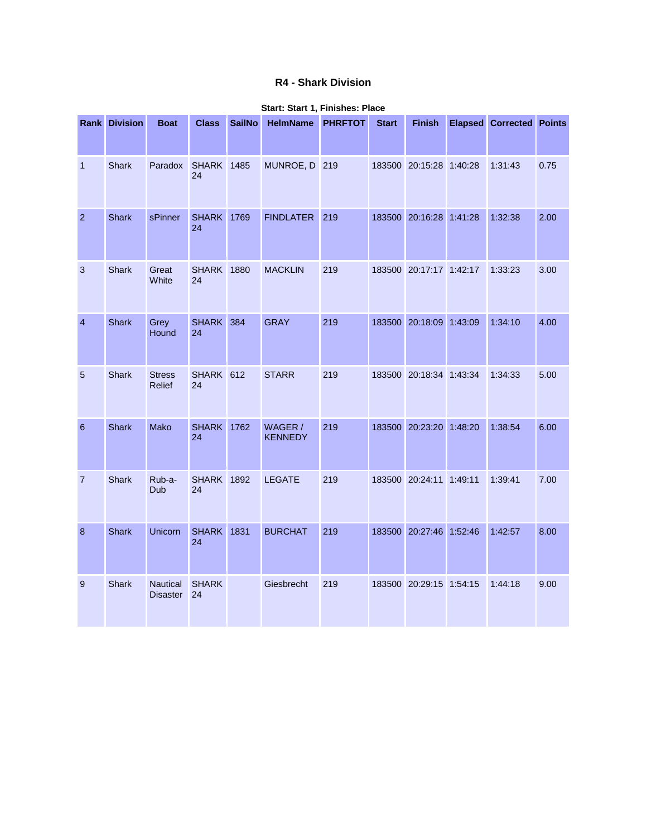## **R4 - Shark Division**

|                | <b>Rank Division</b> | <b>Boat</b>                        | <b>Class</b>            | <b>SailNo</b> | HelmName PHRFTOT          |     | <b>Start</b> | <b>Finish</b>           | <b>Elapsed Corrected Points</b> |      |
|----------------|----------------------|------------------------------------|-------------------------|---------------|---------------------------|-----|--------------|-------------------------|---------------------------------|------|
| $\mathbf{1}$   | Shark                | Paradox                            | <b>SHARK</b> 1485<br>24 |               | MUNROE, D 219             |     |              | 183500 20:15:28 1:40:28 | 1:31:43                         | 0.75 |
| $\overline{2}$ | <b>Shark</b>         | sPinner                            | <b>SHARK</b> 1769<br>24 |               | <b>FINDLATER</b>          | 219 |              | 183500 20:16:28 1:41:28 | 1:32:38                         | 2.00 |
| 3              | Shark                | Great<br>White                     | <b>SHARK 1880</b><br>24 |               | <b>MACKLIN</b>            | 219 |              | 183500 20:17:17 1:42:17 | 1:33:23                         | 3.00 |
| $\overline{4}$ | <b>Shark</b>         | Grey<br>Hound                      | SHARK 384<br>24         |               | <b>GRAY</b>               | 219 |              | 183500 20:18:09 1:43:09 | 1:34:10                         | 4.00 |
| 5              | Shark                | <b>Stress</b><br>Relief            | SHARK 612<br>24         |               | <b>STARR</b>              | 219 |              | 183500 20:18:34 1:43:34 | 1:34:33                         | 5.00 |
| 6              | <b>Shark</b>         | <b>Mako</b>                        | <b>SHARK</b> 1762<br>24 |               | WAGER /<br><b>KENNEDY</b> | 219 |              | 183500 20:23:20 1:48:20 | 1:38:54                         | 6.00 |
| $\overline{7}$ | Shark                | Rub-a-<br>Dub                      | <b>SHARK</b> 1892<br>24 |               | <b>LEGATE</b>             | 219 |              | 183500 20:24:11 1:49:11 | 1:39:41                         | 7.00 |
| $\bf 8$        | <b>Shark</b>         | Unicorn                            | <b>SHARK</b> 1831<br>24 |               | <b>BURCHAT</b>            | 219 |              | 183500 20:27:46 1:52:46 | 1:42:57                         | 8.00 |
| 9              | <b>Shark</b>         | <b>Nautical</b><br><b>Disaster</b> | <b>SHARK</b><br>24      |               | Giesbrecht                | 219 |              | 183500 20:29:15 1:54:15 | 1:44:18                         | 9.00 |

#### **Start: Start 1, Finishes: Place**